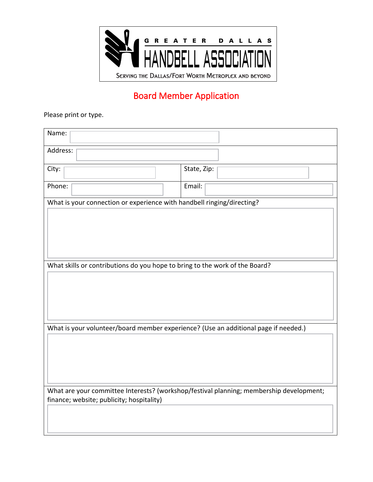

## Board Member Application

Please print or type.

| Name:                                                                               |                                                                                         |  |  |  |  |
|-------------------------------------------------------------------------------------|-----------------------------------------------------------------------------------------|--|--|--|--|
| Address:                                                                            |                                                                                         |  |  |  |  |
| City:                                                                               | State, Zip:                                                                             |  |  |  |  |
| Phone:                                                                              | Email:                                                                                  |  |  |  |  |
| What is your connection or experience with handbell ringing/directing?              |                                                                                         |  |  |  |  |
|                                                                                     |                                                                                         |  |  |  |  |
| What skills or contributions do you hope to bring to the work of the Board?         |                                                                                         |  |  |  |  |
|                                                                                     |                                                                                         |  |  |  |  |
| What is your volunteer/board member experience? (Use an additional page if needed.) |                                                                                         |  |  |  |  |
|                                                                                     |                                                                                         |  |  |  |  |
|                                                                                     | What are your committee Interests? (workshop/festival planning; membership development; |  |  |  |  |
| finance; website; publicity; hospitality)                                           |                                                                                         |  |  |  |  |
|                                                                                     |                                                                                         |  |  |  |  |